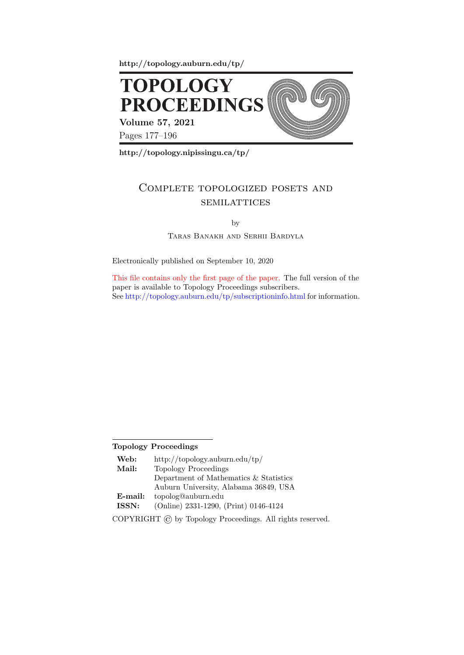http://topology.auburn.edu/tp/



http://topology.nipissingu.ca/tp/

# Complete topologized posets and **SEMILATTICES**

by

Taras Banakh and Serhii Bardyla

Electronically published on September 10, 2020

This file contains only the first page of the paper. The full version of the paper is available to Topology Proceedings subscribers. See http://topology.auburn.edu/tp/subscriptioninfo.html for information.

## Topology Proceedings

| Web:    | http://topology.auburn.edu/tp/         |
|---------|----------------------------------------|
| Mail:   | <b>Topology Proceedings</b>            |
|         | Department of Mathematics & Statistics |
|         | Auburn University, Alabama 36849, USA  |
| E-mail: | topolog@auburn.edu                     |
| ISSN:   | (Online) 2331-1290, (Print) 0146-4124  |
|         |                                        |

COPYRIGHT © by Topology Proceedings. All rights reserved.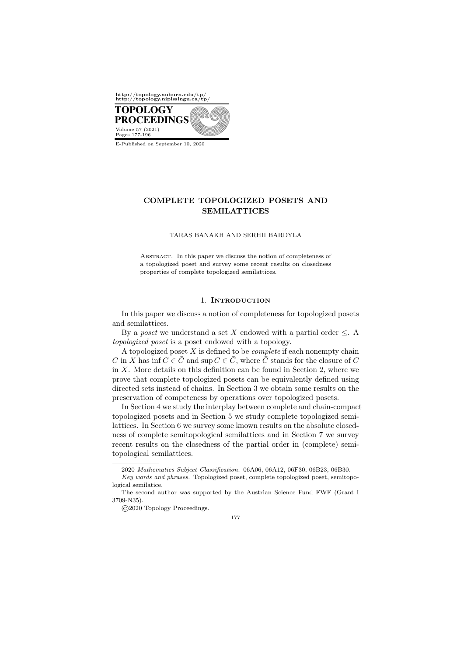

### COMPLETE TOPOLOGIZED POSETS AND SEMILATTICES

#### TARAS BANAKH AND SERHII BARDYLA

Abstract. In this paper we discuss the notion of completeness of a topologized poset and survey some recent results on closedness properties of complete topologized semilattices.

#### 1. Introduction

In this paper we discuss a notion of completeness for topologized posets and semilattices.

By a *poset* we understand a set X endowed with a partial order  $\leq$ . A topologized poset is a poset endowed with a topology.

A topologized poset  $X$  is defined to be *complete* if each nonempty chain C in X has inf  $C \in \overline{C}$  and sup  $C \in \overline{C}$ , where  $\overline{C}$  stands for the closure of C in  $X$ . More details on this definition can be found in Section 2, where we prove that complete topologized posets can be equivalently defined using directed sets instead of chains. In Section 3 we obtain some results on the preservation of competeness by operations over topologized posets.

In Section 4 we study the interplay between complete and chain-compact topologized posets and in Section 5 we study complete topologized semilattices. In Section 6 we survey some known results on the absolute closedness of complete semitopological semilattices and in Section 7 we survey recent results on the closedness of the partial order in (complete) semitopological semilattices.

177

<sup>2020</sup> Mathematics Subject Classification. 06A06, 06A12, 06F30, 06B23, 06B30.

Key words and phrases. Topologized poset, complete topologized poset, semitopological semilatice.

The second author was supported by the Austrian Science Fund FWF (Grant I 3709-N35).

<sup>©2020</sup> Topology Proceedings.